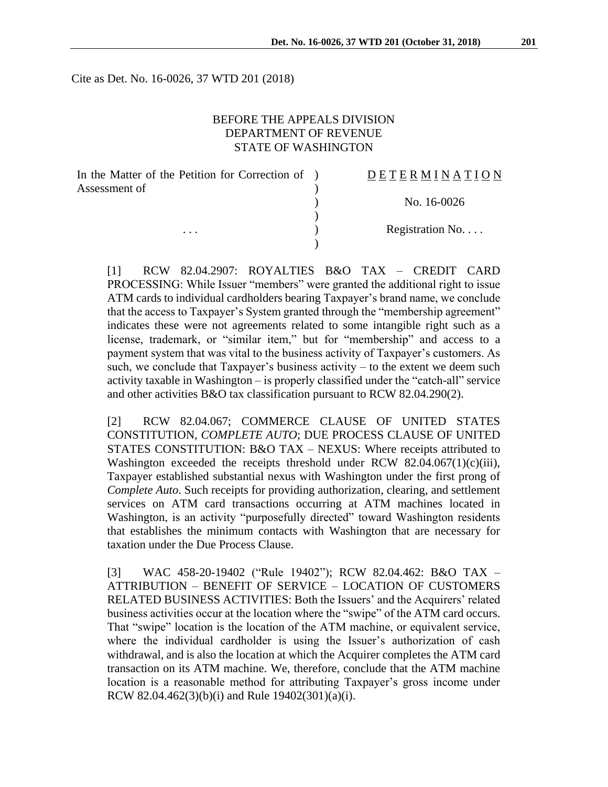Cite as Det. No. 16-0026, 37 WTD 201 (2018)

#### BEFORE THE APPEALS DIVISION DEPARTMENT OF REVENUE STATE OF WASHINGTON

| In the Matter of the Petition for Correction of ) | DETERMINATION   |
|---------------------------------------------------|-----------------|
| Assessment of                                     |                 |
|                                                   | No. 16-0026     |
|                                                   |                 |
| $\cdots$                                          | Registration No |
|                                                   |                 |

[1] RCW 82.04.2907: ROYALTIES B&O TAX – CREDIT CARD PROCESSING: While Issuer "members" were granted the additional right to issue ATM cards to individual cardholders bearing Taxpayer's brand name, we conclude that the access to Taxpayer's System granted through the "membership agreement" indicates these were not agreements related to some intangible right such as a license, trademark, or "similar item," but for "membership" and access to a payment system that was vital to the business activity of Taxpayer's customers. As such, we conclude that Taxpayer's business activity – to the extent we deem such activity taxable in Washington – is properly classified under the "catch-all" service and other activities B&O tax classification pursuant to RCW 82.04.290(2).

[2] RCW 82.04.067; COMMERCE CLAUSE OF UNITED STATES CONSTITUTION, *COMPLETE AUTO*; DUE PROCESS CLAUSE OF UNITED STATES CONSTITUTION: B&O TAX – NEXUS: Where receipts attributed to Washington exceeded the receipts threshold under RCW 82.04.067(1)(c)(iii), Taxpayer established substantial nexus with Washington under the first prong of *Complete Auto*. Such receipts for providing authorization, clearing, and settlement services on ATM card transactions occurring at ATM machines located in Washington, is an activity "purposefully directed" toward Washington residents that establishes the minimum contacts with Washington that are necessary for taxation under the Due Process Clause.

[3] WAC 458-20-19402 ("Rule 19402"); RCW 82.04.462: B&O TAX – ATTRIBUTION – BENEFIT OF SERVICE – LOCATION OF CUSTOMERS RELATED BUSINESS ACTIVITIES: Both the Issuers' and the Acquirers' related business activities occur at the location where the "swipe" of the ATM card occurs. That "swipe" location is the location of the ATM machine, or equivalent service, where the individual cardholder is using the Issuer's authorization of cash withdrawal, and is also the location at which the Acquirer completes the ATM card transaction on its ATM machine. We, therefore, conclude that the ATM machine location is a reasonable method for attributing Taxpayer's gross income under RCW 82.04.462(3)(b)(i) and Rule  $19402(301)(a)(i)$ .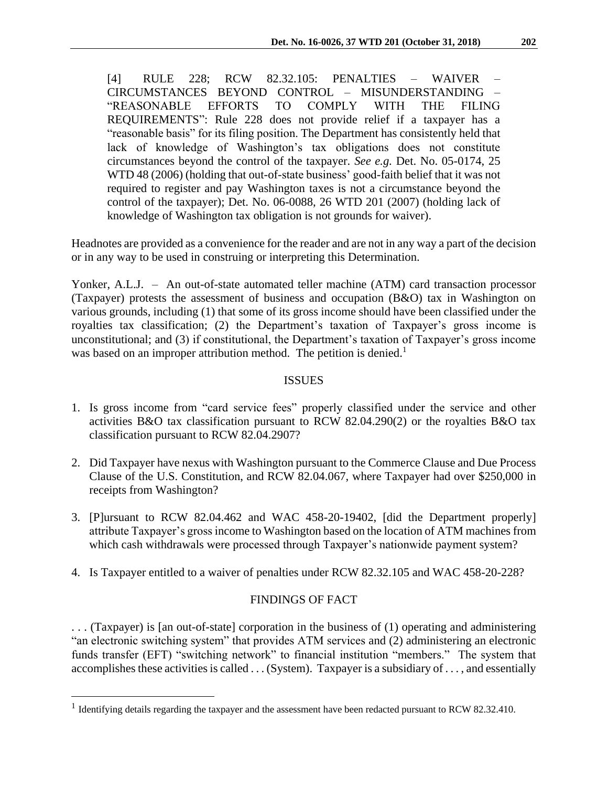[4] RULE 228; RCW 82.32.105: PENALTIES – WAIVER – CIRCUMSTANCES BEYOND CONTROL – MISUNDERSTANDING – "REASONABLE EFFORTS TO COMPLY WITH THE FILING REQUIREMENTS": Rule 228 does not provide relief if a taxpayer has a "reasonable basis" for its filing position. The Department has consistently held that lack of knowledge of Washington's tax obligations does not constitute circumstances beyond the control of the taxpayer. *See e.g.* Det. No. 05-0174, 25 WTD 48 (2006) (holding that out-of-state business' good-faith belief that it was not required to register and pay Washington taxes is not a circumstance beyond the control of the taxpayer); Det. No. 06-0088, 26 WTD 201 (2007) (holding lack of knowledge of Washington tax obligation is not grounds for waiver).

Headnotes are provided as a convenience for the reader and are not in any way a part of the decision or in any way to be used in construing or interpreting this Determination.

Yonker, A.L.J. – An out-of-state automated teller machine (ATM) card transaction processor (Taxpayer) protests the assessment of business and occupation (B&O) tax in Washington on various grounds, including (1) that some of its gross income should have been classified under the royalties tax classification; (2) the Department's taxation of Taxpayer's gross income is unconstitutional; and (3) if constitutional, the Department's taxation of Taxpayer's gross income was based on an improper attribution method. The petition is denied.<sup>1</sup>

### ISSUES

- 1. Is gross income from "card service fees" properly classified under the service and other activities B&O tax classification pursuant to RCW 82.04.290(2) or the royalties B&O tax classification pursuant to RCW 82.04.2907?
- 2. Did Taxpayer have nexus with Washington pursuant to the Commerce Clause and Due Process Clause of the U.S. Constitution, and RCW 82.04.067, where Taxpayer had over \$250,000 in receipts from Washington?
- 3. [P]ursuant to RCW 82.04.462 and WAC 458-20-19402, [did the Department properly] attribute Taxpayer's gross income to Washington based on the location of ATM machines from which cash withdrawals were processed through Taxpayer's nationwide payment system?
- 4. Is Taxpayer entitled to a waiver of penalties under RCW 82.32.105 and WAC 458-20-228?

# FINDINGS OF FACT

. . . (Taxpayer) is [an out-of-state] corporation in the business of (1) operating and administering "an electronic switching system" that provides ATM services and (2) administering an electronic funds transfer (EFT) "switching network" to financial institution "members." The system that accomplishes these activities is called . . . (System). Taxpayer is a subsidiary of . . . , and essentially

<sup>&</sup>lt;sup>1</sup> Identifying details regarding the taxpayer and the assessment have been redacted pursuant to RCW 82.32.410.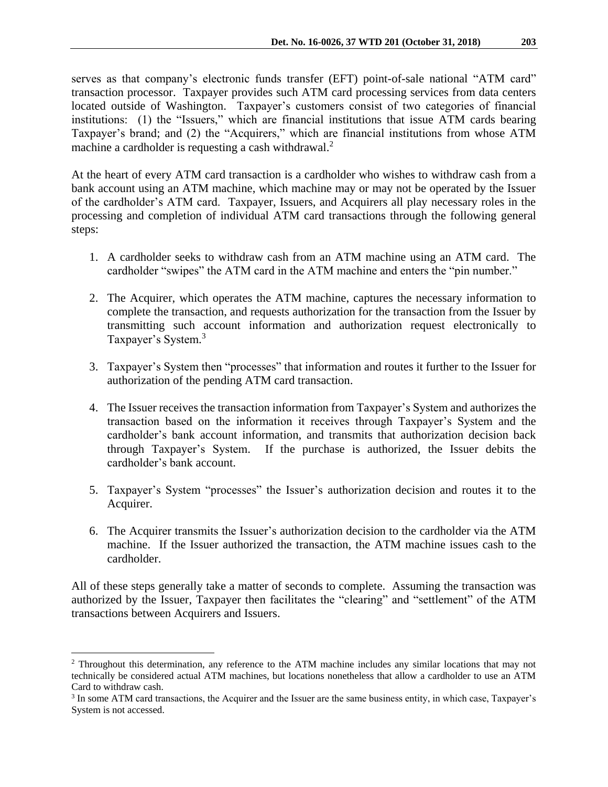serves as that company's electronic funds transfer (EFT) point-of-sale national "ATM card" transaction processor. Taxpayer provides such ATM card processing services from data centers located outside of Washington. Taxpayer's customers consist of two categories of financial institutions: (1) the "Issuers," which are financial institutions that issue ATM cards bearing Taxpayer's brand; and (2) the "Acquirers," which are financial institutions from whose ATM machine a cardholder is requesting a cash withdrawal.<sup>2</sup>

At the heart of every ATM card transaction is a cardholder who wishes to withdraw cash from a bank account using an ATM machine, which machine may or may not be operated by the Issuer of the cardholder's ATM card. Taxpayer, Issuers, and Acquirers all play necessary roles in the processing and completion of individual ATM card transactions through the following general steps:

- 1. A cardholder seeks to withdraw cash from an ATM machine using an ATM card. The cardholder "swipes" the ATM card in the ATM machine and enters the "pin number."
- 2. The Acquirer, which operates the ATM machine, captures the necessary information to complete the transaction, and requests authorization for the transaction from the Issuer by transmitting such account information and authorization request electronically to Taxpayer's System.<sup>3</sup>
- 3. Taxpayer's System then "processes" that information and routes it further to the Issuer for authorization of the pending ATM card transaction.
- 4. The Issuer receives the transaction information from Taxpayer's System and authorizes the transaction based on the information it receives through Taxpayer's System and the cardholder's bank account information, and transmits that authorization decision back through Taxpayer's System. If the purchase is authorized, the Issuer debits the cardholder's bank account.
- 5. Taxpayer's System "processes" the Issuer's authorization decision and routes it to the Acquirer.
- 6. The Acquirer transmits the Issuer's authorization decision to the cardholder via the ATM machine. If the Issuer authorized the transaction, the ATM machine issues cash to the cardholder.

All of these steps generally take a matter of seconds to complete. Assuming the transaction was authorized by the Issuer, Taxpayer then facilitates the "clearing" and "settlement" of the ATM transactions between Acquirers and Issuers.

<sup>2</sup> Throughout this determination, any reference to the ATM machine includes any similar locations that may not technically be considered actual ATM machines, but locations nonetheless that allow a cardholder to use an ATM Card to withdraw cash.

<sup>3</sup> In some ATM card transactions, the Acquirer and the Issuer are the same business entity, in which case, Taxpayer's System is not accessed.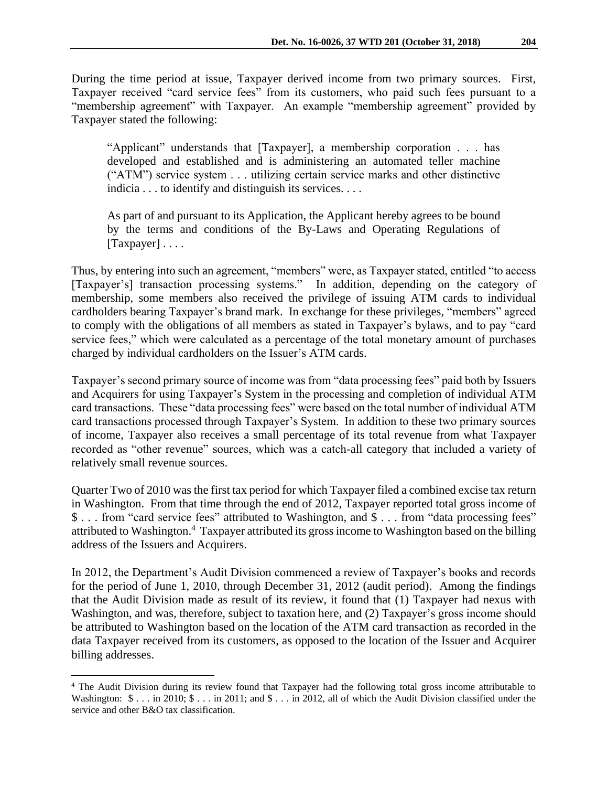During the time period at issue, Taxpayer derived income from two primary sources. First, Taxpayer received "card service fees" from its customers, who paid such fees pursuant to a "membership agreement" with Taxpayer. An example "membership agreement" provided by Taxpayer stated the following:

"Applicant" understands that [Taxpayer], a membership corporation . . . has developed and established and is administering an automated teller machine ("ATM") service system . . . utilizing certain service marks and other distinctive indicia . . . to identify and distinguish its services. . . .

As part of and pursuant to its Application, the Applicant hereby agrees to be bound by the terms and conditions of the By-Laws and Operating Regulations of [Taxpayer] . . . .

Thus, by entering into such an agreement, "members" were, as Taxpayer stated, entitled "to access [Taxpayer's] transaction processing systems." In addition, depending on the category of membership, some members also received the privilege of issuing ATM cards to individual cardholders bearing Taxpayer's brand mark. In exchange for these privileges, "members" agreed to comply with the obligations of all members as stated in Taxpayer's bylaws, and to pay "card service fees," which were calculated as a percentage of the total monetary amount of purchases charged by individual cardholders on the Issuer's ATM cards.

Taxpayer's second primary source of income was from "data processing fees" paid both by Issuers and Acquirers for using Taxpayer's System in the processing and completion of individual ATM card transactions. These "data processing fees" were based on the total number of individual ATM card transactions processed through Taxpayer's System. In addition to these two primary sources of income, Taxpayer also receives a small percentage of its total revenue from what Taxpayer recorded as "other revenue" sources, which was a catch-all category that included a variety of relatively small revenue sources.

Quarter Two of 2010 was the first tax period for which Taxpayer filed a combined excise tax return in Washington. From that time through the end of 2012, Taxpayer reported total gross income of \$ . . . from "card service fees" attributed to Washington, and \$ . . . from "data processing fees" attributed to Washington. 4 Taxpayer attributed its gross income to Washington based on the billing address of the Issuers and Acquirers.

In 2012, the Department's Audit Division commenced a review of Taxpayer's books and records for the period of June 1, 2010, through December 31, 2012 (audit period). Among the findings that the Audit Division made as result of its review, it found that (1) Taxpayer had nexus with Washington, and was, therefore, subject to taxation here, and (2) Taxpayer's gross income should be attributed to Washington based on the location of the ATM card transaction as recorded in the data Taxpayer received from its customers, as opposed to the location of the Issuer and Acquirer billing addresses.

<sup>4</sup> The Audit Division during its review found that Taxpayer had the following total gross income attributable to Washington:  $\$\dots$  in 2010;  $\$\dots$  in 2011; and  $\$\dots$  in 2012, all of which the Audit Division classified under the service and other B&O tax classification.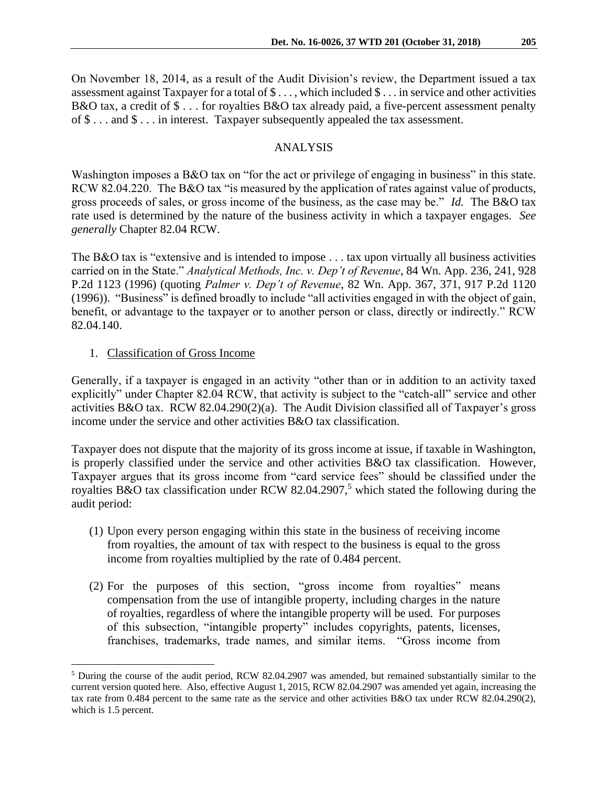On November 18, 2014, as a result of the Audit Division's review, the Department issued a tax assessment against Taxpayer for a total of \$ . . . , which included \$ . . . in service and other activities B&O tax, a credit of \$ . . . for royalties B&O tax already paid, a five-percent assessment penalty of \$ . . . and \$ . . . in interest. Taxpayer subsequently appealed the tax assessment.

### ANALYSIS

Washington imposes a B&O tax on "for the act or privilege of engaging in business" in this state. RCW 82.04.220. The B&O tax "is measured by the application of rates against value of products, gross proceeds of sales, or gross income of the business, as the case may be." *Id.* The B&O tax rate used is determined by the nature of the business activity in which a taxpayer engages. *See generally* Chapter 82.04 RCW.

The B&O tax is "extensive and is intended to impose . . . tax upon virtually all business activities carried on in the State." *Analytical Methods, Inc. v. Dep't of Revenue*, 84 Wn. App. 236, 241, 928 P.2d 1123 (1996) (quoting *Palmer v. Dep't of Revenue*, 82 Wn. App. 367, 371, 917 P.2d 1120 (1996)). "Business" is defined broadly to include "all activities engaged in with the object of gain, benefit, or advantage to the taxpayer or to another person or class, directly or indirectly." RCW 82.04.140.

### 1. Classification of Gross Income

 $\overline{a}$ 

Generally, if a taxpayer is engaged in an activity "other than or in addition to an activity taxed explicitly" under Chapter 82.04 RCW, that activity is subject to the "catch-all" service and other activities B&O tax. RCW 82.04.290(2)(a). The Audit Division classified all of Taxpayer's gross income under the service and other activities B&O tax classification.

Taxpayer does not dispute that the majority of its gross income at issue, if taxable in Washington, is properly classified under the service and other activities B&O tax classification. However, Taxpayer argues that its gross income from "card service fees" should be classified under the royalties B&O tax classification under RCW 82.04.2907,<sup>5</sup> which stated the following during the audit period:

- (1) Upon every person engaging within this state in the business of receiving income from royalties, the amount of tax with respect to the business is equal to the gross income from royalties multiplied by the rate of 0.484 percent.
- (2) For the purposes of this section, "gross income from royalties" means compensation from the use of intangible property, including charges in the nature of royalties, regardless of where the intangible property will be used. For purposes of this subsection, "intangible property" includes copyrights, patents, licenses, franchises, trademarks, trade names, and similar items. "Gross income from

<sup>5</sup> During the course of the audit period, RCW 82.04.2907 was amended, but remained substantially similar to the current version quoted here. Also, effective August 1, 2015, RCW 82.04.2907 was amended yet again, increasing the tax rate from 0.484 percent to the same rate as the service and other activities B&O tax under RCW 82.04.290(2), which is 1.5 percent.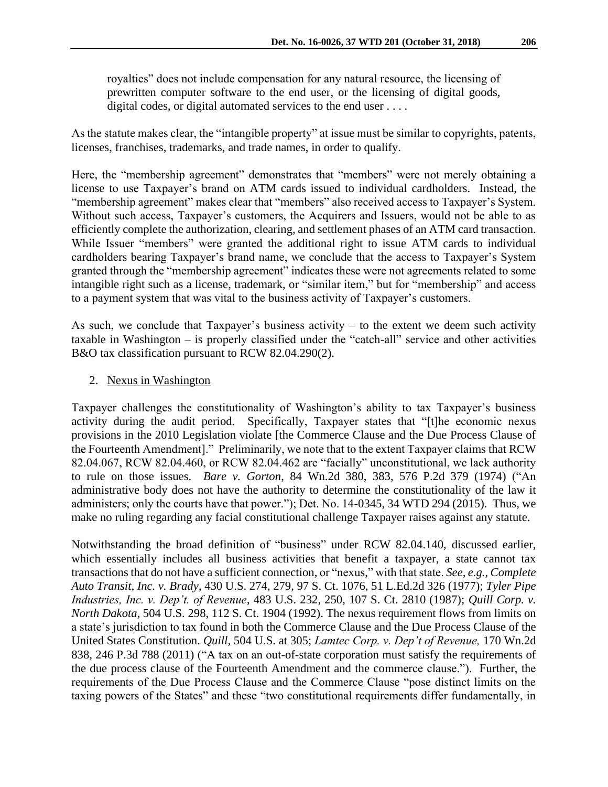royalties" does not include compensation for any natural resource, the licensing of prewritten computer software to the end user, or the licensing of digital goods, digital codes, or digital automated services to the end user ....

As the statute makes clear, the "intangible property" at issue must be similar to copyrights, patents, licenses, franchises, trademarks, and trade names, in order to qualify.

Here, the "membership agreement" demonstrates that "members" were not merely obtaining a license to use Taxpayer's brand on ATM cards issued to individual cardholders. Instead, the "membership agreement" makes clear that "members" also received access to Taxpayer's System. Without such access, Taxpayer's customers, the Acquirers and Issuers, would not be able to as efficiently complete the authorization, clearing, and settlement phases of an ATM card transaction. While Issuer "members" were granted the additional right to issue ATM cards to individual cardholders bearing Taxpayer's brand name, we conclude that the access to Taxpayer's System granted through the "membership agreement" indicates these were not agreements related to some intangible right such as a license, trademark, or "similar item," but for "membership" and access to a payment system that was vital to the business activity of Taxpayer's customers.

As such, we conclude that Taxpayer's business activity – to the extent we deem such activity taxable in Washington – is properly classified under the "catch-all" service and other activities B&O tax classification pursuant to RCW 82.04.290(2).

### 2. Nexus in Washington

Taxpayer challenges the constitutionality of Washington's ability to tax Taxpayer's business activity during the audit period. Specifically, Taxpayer states that "[t]he economic nexus provisions in the 2010 Legislation violate [the Commerce Clause and the Due Process Clause of the Fourteenth Amendment]." Preliminarily, we note that to the extent Taxpayer claims that RCW 82.04.067, RCW 82.04.460, or RCW 82.04.462 are "facially" unconstitutional, we lack authority to rule on those issues. *Bare v. Gorton*, 84 Wn.2d 380, 383, 576 P.2d 379 (1974) ("An administrative body does not have the authority to determine the constitutionality of the law it administers; only the courts have that power."); Det. No. 14-0345, 34 WTD 294 (2015). Thus, we make no ruling regarding any facial constitutional challenge Taxpayer raises against any statute.

Notwithstanding the broad definition of "business" under RCW 82.04.140, discussed earlier, which essentially includes all business activities that benefit a taxpayer, a state cannot tax transactions that do not have a sufficient connection, or "nexus," with that state. *See, e.g.*, *Complete Auto Transit, Inc. v. Brady*, 430 U.S. 274, 279, 97 S. Ct. 1076, 51 L.Ed.2d 326 (1977); *Tyler Pipe Industries, Inc. v. Dep't. of Revenue*, 483 U.S. 232, 250, 107 S. Ct. 2810 (1987); *Quill Corp. v. North Dakota*, 504 U.S. 298, 112 S. Ct. 1904 (1992). The nexus requirement flows from limits on a state's jurisdiction to tax found in both the Commerce Clause and the Due Process Clause of the United States Constitution. *Quill,* 504 U.S. at 305; *Lamtec Corp. v. Dep't of Revenue,* 170 Wn.2d 838, 246 P.3d 788 (2011) ("A tax on an out-of-state corporation must satisfy the requirements of the due process clause of the Fourteenth Amendment and the commerce clause."). Further, the requirements of the Due Process Clause and the Commerce Clause "pose distinct limits on the taxing powers of the States" and these "two constitutional requirements differ fundamentally, in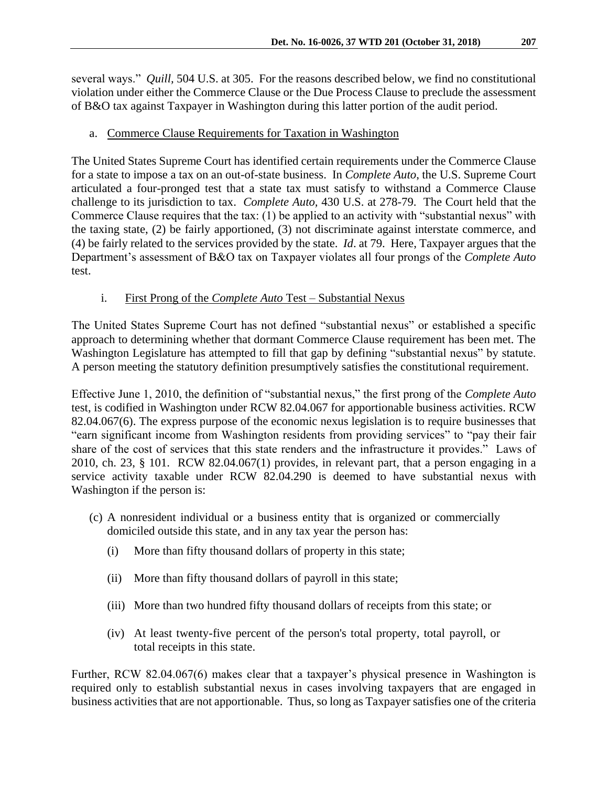several ways." *Quill,* 504 U.S. at 305. For the reasons described below, we find no constitutional violation under either the Commerce Clause or the Due Process Clause to preclude the assessment of B&O tax against Taxpayer in Washington during this latter portion of the audit period.

# a. Commerce Clause Requirements for Taxation in Washington

The United States Supreme Court has identified certain requirements under the Commerce Clause for a state to impose a tax on an out-of-state business. In *Complete Auto*, the U.S. Supreme Court articulated a four-pronged test that a state tax must satisfy to withstand a Commerce Clause challenge to its jurisdiction to tax. *Complete Auto,* 430 U.S. at 278-79. The Court held that the Commerce Clause requires that the tax:  $(1)$  be applied to an activity with "substantial nexus" with the taxing state, (2) be fairly apportioned, (3) not discriminate against interstate commerce, and (4) be fairly related to the services provided by the state. *Id*. at 79. Here, Taxpayer argues that the Department's assessment of B&O tax on Taxpayer violates all four prongs of the *Complete Auto*  test.

# i. First Prong of the *Complete Auto* Test – Substantial Nexus

The United States Supreme Court has not defined "substantial nexus" or established a specific approach to determining whether that dormant Commerce Clause requirement has been met. The Washington Legislature has attempted to fill that gap by defining "substantial nexus" by statute. A person meeting the statutory definition presumptively satisfies the constitutional requirement.

Effective June 1, 2010, the definition of "substantial nexus," the first prong of the *Complete Auto*  test, is codified in Washington under RCW 82.04.067 for apportionable business activities. RCW 82.04.067(6). The express purpose of the economic nexus legislation is to require businesses that "earn significant income from Washington residents from providing services" to "pay their fair share of the cost of services that this state renders and the infrastructure it provides." Laws of 2010, ch. 23, § 101. RCW 82.04.067(1) provides, in relevant part, that a person engaging in a service activity taxable under RCW 82.04.290 is deemed to have substantial nexus with Washington if the person is:

- (c) A nonresident individual or a business entity that is organized or commercially domiciled outside this state, and in any tax year the person has:
	- (i) More than fifty thousand dollars of property in this state;
	- (ii) More than fifty thousand dollars of payroll in this state;
	- (iii) More than two hundred fifty thousand dollars of receipts from this state; or
	- (iv) At least twenty-five percent of the person's total property, total payroll, or total receipts in this state.

Further, RCW 82.04.067(6) makes clear that a taxpayer's physical presence in Washington is required only to establish substantial nexus in cases involving taxpayers that are engaged in business activities that are not apportionable. Thus, so long as Taxpayer satisfies one of the criteria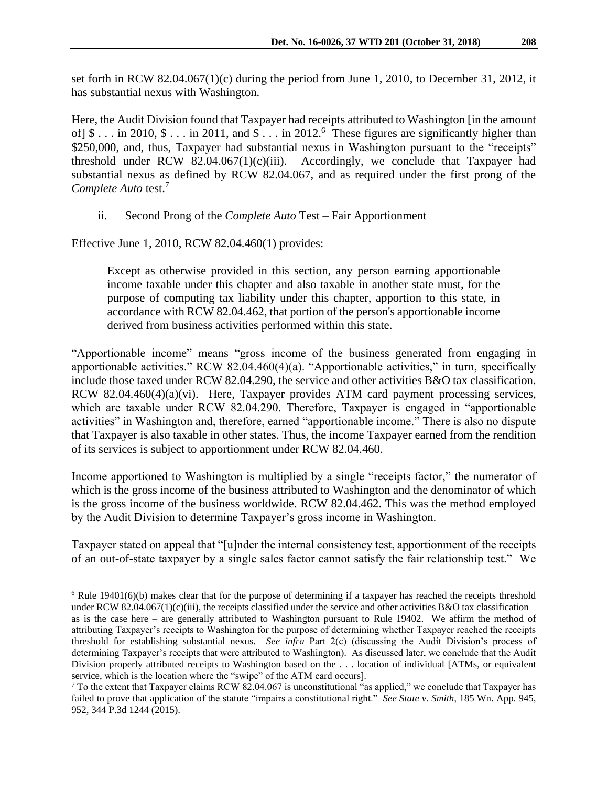set forth in RCW 82.04.067(1)(c) during the period from June 1, 2010, to December 31, 2012, it has substantial nexus with Washington.

Here, the Audit Division found that Taxpayer had receipts attributed to Washington [in the amount of  $\$ \dots$  in 2010,  $\$ \dots$  in 2011, and  $\$ \dots$  in 2012.<sup>6</sup> These figures are significantly higher than \$250,000, and, thus, Taxpayer had substantial nexus in Washington pursuant to the "receipts" threshold under RCW 82.04.067(1)(c)(iii). Accordingly, we conclude that Taxpayer had substantial nexus as defined by RCW 82.04.067, and as required under the first prong of the *Complete Auto* test.<sup>7</sup>

### ii. Second Prong of the *Complete Auto* Test – Fair Apportionment

Effective June 1, 2010, RCW 82.04.460(1) provides:

 $\overline{a}$ 

Except as otherwise provided in this section, any person earning apportionable income taxable under this chapter and also taxable in another state must, for the purpose of computing tax liability under this chapter, apportion to this state, in accordance with RCW [82.04.462,](http://apps.leg.wa.gov/rcw/default.aspx?cite=82.04.462) that portion of the person's apportionable income derived from business activities performed within this state.

"Apportionable income" means "gross income of the business generated from engaging in apportionable activities." RCW 82.04.460(4)(a). "Apportionable activities," in turn, specifically include those taxed under RCW 82.04.290, the service and other activities B&O tax classification. RCW 82.04.460(4)(a)(vi). Here, Taxpayer provides ATM card payment processing services, which are taxable under RCW 82.04.290. Therefore, Taxpayer is engaged in "apportionable activities" in Washington and, therefore, earned "apportionable income." There is also no dispute that Taxpayer is also taxable in other states. Thus, the income Taxpayer earned from the rendition of its services is subject to apportionment under RCW 82.04.460.

Income apportioned to Washington is multiplied by a single "receipts factor," the numerator of which is the gross income of the business attributed to Washington and the denominator of which is the gross income of the business worldwide. RCW 82.04.462. This was the method employed by the Audit Division to determine Taxpayer's gross income in Washington.

Taxpayer stated on appeal that "[u]nder the internal consistency test, apportionment of the receipts of an out-of-state taxpayer by a single sales factor cannot satisfy the fair relationship test." We

 $6$  Rule 19401(6)(b) makes clear that for the purpose of determining if a taxpayer has reached the receipts threshold under RCW 82.04.067(1)(c)(iii), the receipts classified under the service and other activities B&O tax classification – as is the case here – are generally attributed to Washington pursuant to Rule 19402. We affirm the method of attributing Taxpayer's receipts to Washington for the purpose of determining whether Taxpayer reached the receipts threshold for establishing substantial nexus. *See infra* Part 2(c) (discussing the Audit Division's process of determining Taxpayer's receipts that were attributed to Washington). As discussed later, we conclude that the Audit Division properly attributed receipts to Washington based on the . . . location of individual [ATMs, or equivalent service, which is the location where the "swipe" of the ATM card occurs].

 $7$  To the extent that Taxpayer claims RCW 82.04.067 is unconstitutional "as applied," we conclude that Taxpayer has failed to prove that application of the statute "impairs a constitutional right." *See State v. Smith,* 185 Wn. App. 945, 952, 344 P.3d 1244 (2015).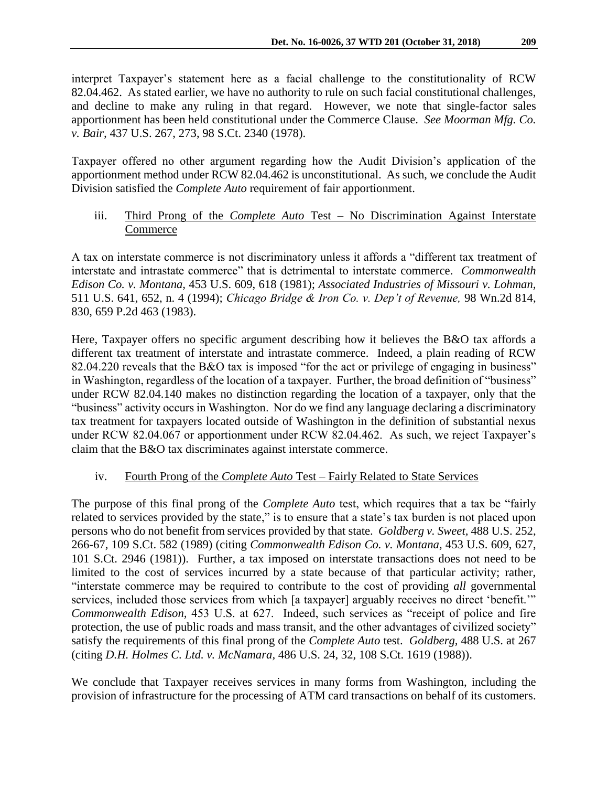interpret Taxpayer's statement here as a facial challenge to the constitutionality of RCW 82.04.462. As stated earlier, we have no authority to rule on such facial constitutional challenges, and decline to make any ruling in that regard. However, we note that single-factor sales apportionment has been held constitutional under the Commerce Clause. *See Moorman Mfg. Co. v. Bair,* 437 U.S. 267, 273, 98 S.Ct. 2340 (1978).

Taxpayer offered no other argument regarding how the Audit Division's application of the apportionment method under RCW 82.04.462 is unconstitutional. As such, we conclude the Audit Division satisfied the *Complete Auto* requirement of fair apportionment.

## iii. Third Prong of the *Complete Auto* Test – No Discrimination Against Interstate Commerce

A tax on interstate commerce is not discriminatory unless it affords a "different tax treatment of interstate and intrastate commerce" that is detrimental to interstate commerce. *Commonwealth Edison Co. v. Montana,* 453 U.S. 609, 618 (1981); *Associated Industries of Missouri v. Lohman,*  511 U.S. 641, 652, n. 4 (1994); *Chicago Bridge & Iron Co. v. Dep't of Revenue,* 98 Wn.2d 814, 830, 659 P.2d 463 (1983).

Here, Taxpayer offers no specific argument describing how it believes the B&O tax affords a different tax treatment of interstate and intrastate commerce. Indeed, a plain reading of RCW 82.04.220 reveals that the B&O tax is imposed "for the act or privilege of engaging in business" in Washington, regardless of the location of a taxpayer. Further, the broad definition of "business" under RCW 82.04.140 makes no distinction regarding the location of a taxpayer, only that the "business" activity occurs in Washington. Nor do we find any language declaring a discriminatory tax treatment for taxpayers located outside of Washington in the definition of substantial nexus under RCW 82.04.067 or apportionment under RCW 82.04.462. As such, we reject Taxpayer's claim that the B&O tax discriminates against interstate commerce.

## iv. Fourth Prong of the *Complete Auto* Test – Fairly Related to State Services

The purpose of this final prong of the *Complete Auto* test, which requires that a tax be "fairly related to services provided by the state," is to ensure that a state's tax burden is not placed upon persons who do not benefit from services provided by that state. *Goldberg v. Sweet,* 488 U.S. 252, 266-67, 109 S.Ct. 582 (1989) (citing *Commonwealth Edison Co. v. Montana,* 453 U.S. 609, 627, 101 S.Ct. 2946 (1981)). Further, a tax imposed on interstate transactions does not need to be limited to the cost of services incurred by a state because of that particular activity; rather, "interstate commerce may be required to contribute to the cost of providing *all* governmental services, included those services from which [a taxpayer] arguably receives no direct 'benefit.'" *Commonwealth Edison,* 453 U.S. at 627. Indeed, such services as "receipt of police and fire protection, the use of public roads and mass transit, and the other advantages of civilized society" satisfy the requirements of this final prong of the *Complete Auto* test. *Goldberg,* 488 U.S. at 267 (citing *D.H. Holmes C. Ltd. v. McNamara,* 486 U.S. 24, 32, 108 S.Ct. 1619 (1988)).

We conclude that Taxpayer receives services in many forms from Washington, including the provision of infrastructure for the processing of ATM card transactions on behalf of its customers.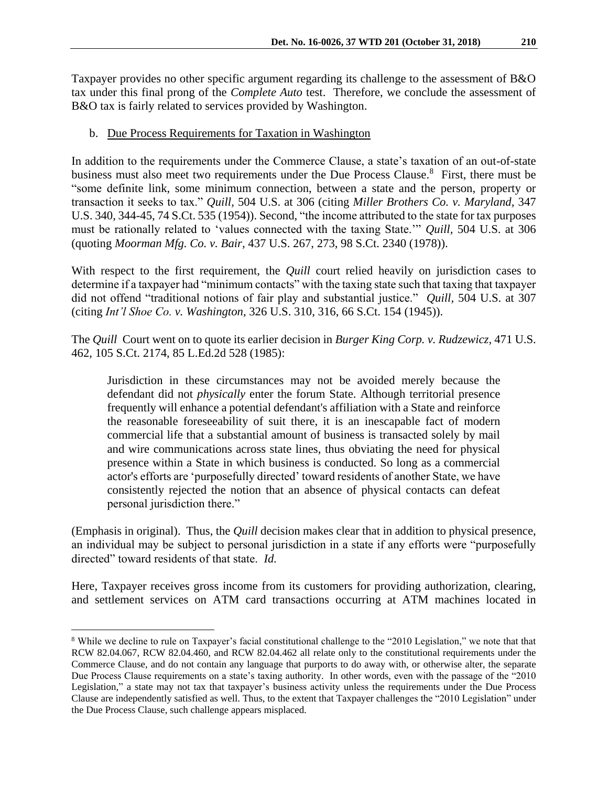Taxpayer provides no other specific argument regarding its challenge to the assessment of B&O tax under this final prong of the *Complete Auto* test. Therefore, we conclude the assessment of B&O tax is fairly related to services provided by Washington.

### b. Due Process Requirements for Taxation in Washington

In addition to the requirements under the Commerce Clause, a state's taxation of an out-of-state business must also meet two requirements under the Due Process Clause.<sup>8</sup> First, there must be "some definite link, some minimum connection, between a state and the person, property or transaction it seeks to tax." *Quill,* 504 U.S. at 306 (citing *Miller Brothers Co. v. Maryland,* 347 U.S. 340, 344-45, 74 S.Ct. 535 (1954)). Second, "the income attributed to the state for tax purposes must be rationally related to 'values connected with the taxing State.'" *Quill,* 504 U.S. at 306 (quoting *Moorman Mfg. Co. v. Bair,* 437 U.S. 267, 273, 98 S.Ct. 2340 (1978)).

With respect to the first requirement, the *Quill* court relied heavily on jurisdiction cases to determine if a taxpayer had "minimum contacts" with the taxing state such that taxing that taxpayer did not offend "traditional notions of fair play and substantial justice." *Quill,* 504 U.S. at 307 (citing *Int'l Shoe Co. v. Washington,* 326 U.S. 310, 316, 66 S.Ct. 154 (1945)).

The *Quill* Court went on to quote its earlier decision in *[Burger King Corp. v. Rudzewicz,](https://a.next.westlaw.com/Link/Document/FullText?findType=Y&serNum=1985125841&pubNum=0000708&originatingDoc=I72e8db249c9a11d991d0cc6b54f12d4d&refType=RP&originationContext=document&transitionType=DocumentItem&contextData=(sc.Search))* 471 U.S. [462, 105 S.Ct. 2174, 85 L.Ed.2d 528 \(1985\):](https://a.next.westlaw.com/Link/Document/FullText?findType=Y&serNum=1985125841&pubNum=0000708&originatingDoc=I72e8db249c9a11d991d0cc6b54f12d4d&refType=RP&originationContext=document&transitionType=DocumentItem&contextData=(sc.Search))

Jurisdiction in these circumstances may not be avoided merely because the defendant did not *physically* enter the forum State. Although territorial presence frequently will enhance a potential defendant's affiliation with a State and reinforce the reasonable foreseeability of suit there, it is an inescapable fact of modern commercial life that a substantial amount of business is transacted solely by mail and wire communications across state lines, thus obviating the need for physical presence within a State in which business is conducted. So long as a commercial actor's efforts are 'purposefully directed' toward residents of another State, we have consistently rejected the notion that an absence of physical contacts can defeat personal jurisdiction there."

(Emphasis in original). Thus, the *Quill* decision makes clear that in addition to physical presence, an individual may be subject to personal jurisdiction in a state if any efforts were "purposefully directed" toward residents of that state. *Id.*

Here, Taxpayer receives gross income from its customers for providing authorization, clearing, and settlement services on ATM card transactions occurring at ATM machines located in

 $\overline{a}$ <sup>8</sup> While we decline to rule on Taxpayer's facial constitutional challenge to the "2010 Legislation," we note that that RCW 82.04.067, RCW 82.04.460, and RCW 82.04.462 all relate only to the constitutional requirements under the Commerce Clause, and do not contain any language that purports to do away with, or otherwise alter, the separate Due Process Clause requirements on a state's taxing authority. In other words, even with the passage of the "2010 Legislation," a state may not tax that taxpayer's business activity unless the requirements under the Due Process Clause are independently satisfied as well. Thus, to the extent that Taxpayer challenges the "2010 Legislation" under the Due Process Clause, such challenge appears misplaced.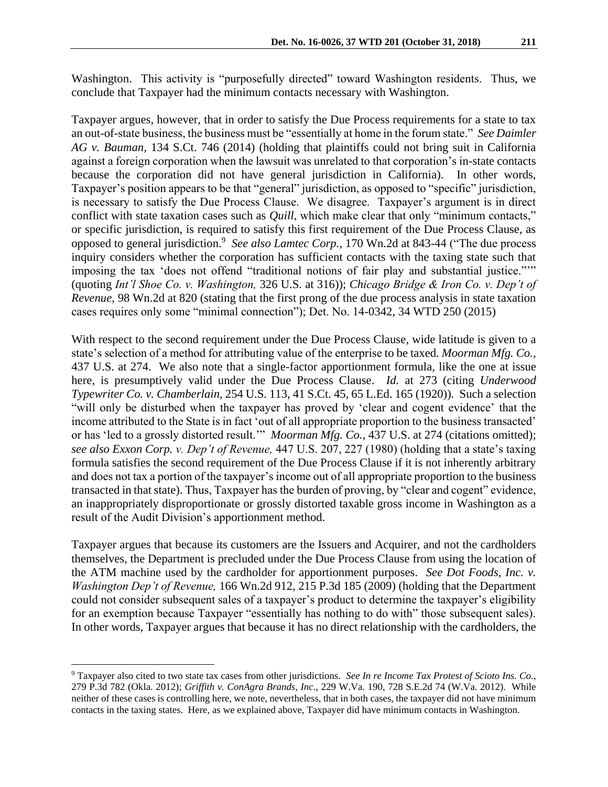Taxpayer argues, however, that in order to satisfy the Due Process requirements for a state to tax an out-of-state business, the business must be "essentially at home in the forum state." *See Daimler AG v. Bauman,* 134 S.Ct. 746 (2014) (holding that plaintiffs could not bring suit in California against a foreign corporation when the lawsuit was unrelated to that corporation's in-state contacts because the corporation did not have general jurisdiction in California). In other words, Taxpayer's position appears to be that "general" jurisdiction, as opposed to "specific" jurisdiction, is necessary to satisfy the Due Process Clause. We disagree. Taxpayer's argument is in direct conflict with state taxation cases such as *Quill*, which make clear that only "minimum contacts," or specific jurisdiction, is required to satisfy this first requirement of the Due Process Clause, as opposed to general jurisdiction.<sup>9</sup> See also Lamtec Corp., 170 Wn.2d at 843-44 ("The due process inquiry considers whether the corporation has sufficient contacts with the taxing state such that imposing the tax 'does not offend "traditional notions of fair play and substantial justice."'" (quoting *Int'l Shoe Co. v. Washington,* 326 U.S. at 316)); *Chicago Bridge & Iron Co. v. Dep't of Revenue,* 98 Wn.2d at 820 (stating that the first prong of the due process analysis in state taxation cases requires only some "minimal connection"); Det. No. 14-0342, 34 WTD 250 (2015)

With respect to the second requirement under the Due Process Clause, wide latitude is given to a state's selection of a method for attributing value of the enterprise to be taxed. *Moorman Mfg. Co.,*  437 U.S. at 274. We also note that a single-factor apportionment formula, like the one at issue here, is presumptively valid under the Due Process Clause. *Id.* at 273 (citing *Underwood Typewriter Co. v. Chamberlain*, 254 U.S. 113, 41 S.Ct. 45, 65 L.Ed. 165 (1920))*.* Such a selection "will only be disturbed when the taxpayer has proved by 'clear and cogent evidence' that the income attributed to the State is in fact 'out of all appropriate proportion to the business transacted' or has 'led to a grossly distorted result.'" *Moorman Mfg. Co.,* 437 U.S. at 274 (citations omitted); *see also Exxon Corp. v. Dep't of Revenue,* 447 U.S. 207, 227 (1980) (holding that a state's taxing formula satisfies the second requirement of the Due Process Clause if it is not inherently arbitrary and does not tax a portion of the taxpayer's income out of all appropriate proportion to the business transacted in that state). Thus, Taxpayer has the burden of proving, by "clear and cogent" evidence, an inappropriately disproportionate or grossly distorted taxable gross income in Washington as a result of the Audit Division's apportionment method.

Taxpayer argues that because its customers are the Issuers and Acquirer, and not the cardholders themselves, the Department is precluded under the Due Process Clause from using the location of the ATM machine used by the cardholder for apportionment purposes. *See Dot Foods, Inc. v. Washington Dep't of Revenue,* 166 Wn.2d 912, 215 P.3d 185 (2009) (holding that the Department could not consider subsequent sales of a taxpayer's product to determine the taxpayer's eligibility for an exemption because Taxpayer "essentially has nothing to do with" those subsequent sales). In other words, Taxpayer argues that because it has no direct relationship with the cardholders, the

<sup>9</sup> Taxpayer also cited to two state tax cases from other jurisdictions. *See In re Income Tax Protest of Scioto Ins. Co.,*  279 P.3d 782 (Okla. 2012); *Griffith v. ConAgra Brands, Inc.,* 229 W.Va. 190, 728 S.E.2d 74 (W.Va. 2012). While neither of these cases is controlling here, we note, nevertheless, that in both cases, the taxpayer did not have minimum contacts in the taxing states. Here, as we explained above, Taxpayer did have minimum contacts in Washington.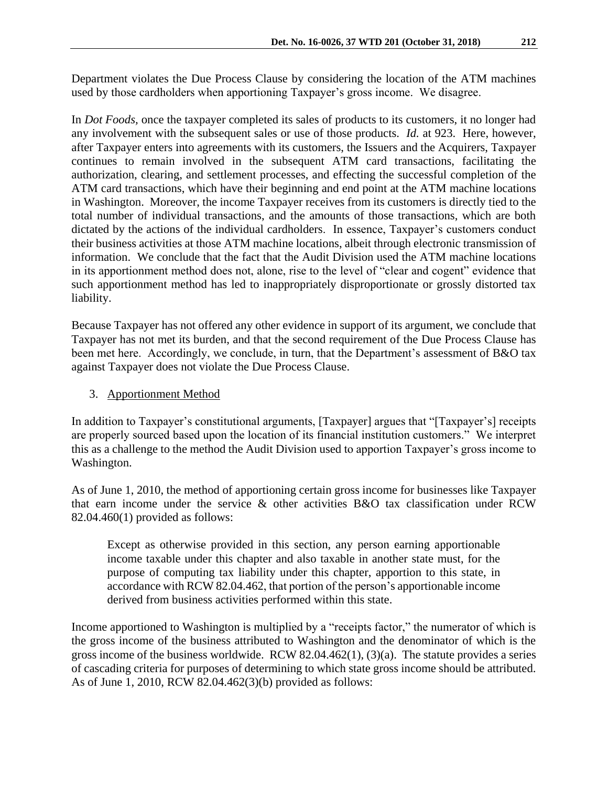Department violates the Due Process Clause by considering the location of the ATM machines used by those cardholders when apportioning Taxpayer's gross income. We disagree.

In *Dot Foods,* once the taxpayer completed its sales of products to its customers, it no longer had any involvement with the subsequent sales or use of those products. *Id.* at 923. Here, however, after Taxpayer enters into agreements with its customers, the Issuers and the Acquirers, Taxpayer continues to remain involved in the subsequent ATM card transactions, facilitating the authorization, clearing, and settlement processes, and effecting the successful completion of the ATM card transactions, which have their beginning and end point at the ATM machine locations in Washington. Moreover, the income Taxpayer receives from its customers is directly tied to the total number of individual transactions, and the amounts of those transactions, which are both dictated by the actions of the individual cardholders. In essence, Taxpayer's customers conduct their business activities at those ATM machine locations, albeit through electronic transmission of information. We conclude that the fact that the Audit Division used the ATM machine locations in its apportionment method does not, alone, rise to the level of "clear and cogent" evidence that such apportionment method has led to inappropriately disproportionate or grossly distorted tax liability.

Because Taxpayer has not offered any other evidence in support of its argument, we conclude that Taxpayer has not met its burden, and that the second requirement of the Due Process Clause has been met here. Accordingly, we conclude, in turn, that the Department's assessment of B&O tax against Taxpayer does not violate the Due Process Clause.

## 3. Apportionment Method

In addition to Taxpayer's constitutional arguments, [Taxpayer] argues that "[Taxpayer's] receipts are properly sourced based upon the location of its financial institution customers." We interpret this as a challenge to the method the Audit Division used to apportion Taxpayer's gross income to Washington.

As of June 1, 2010, the method of apportioning certain gross income for businesses like Taxpayer that earn income under the service & other activities B&O tax classification under RCW 82.04.460(1) provided as follows:

Except as otherwise provided in this section, any person earning apportionable income taxable under this chapter and also taxable in another state must, for the purpose of computing tax liability under this chapter, apportion to this state, in accordance with RC[W 82.04.462,](http://apps.leg.wa.gov/rcw/default.aspx?cite=82.04.462) that portion of the person's apportionable income derived from business activities performed within this state.

Income apportioned to Washington is multiplied by a "receipts factor," the numerator of which is the gross income of the business attributed to Washington and the denominator of which is the gross income of the business worldwide. RCW 82.04.462(1), (3)(a). The statute provides a series of cascading criteria for purposes of determining to which state gross income should be attributed. As of June 1, 2010, RCW 82.04.462(3)(b) provided as follows: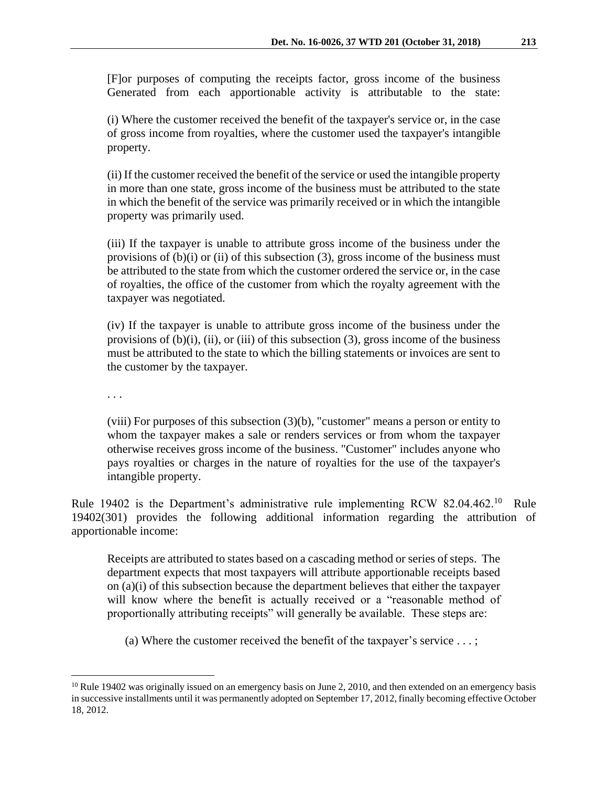[F]or purposes of computing the receipts factor, gross income of the business Generated from each apportionable activity is attributable to the state:

(i) Where the customer received the benefit of the taxpayer's service or, in the case of gross income from royalties, where the customer used the taxpayer's intangible property.

(ii) If the customer received the benefit of the service or used the intangible property in more than one state, gross income of the business must be attributed to the state in which the benefit of the service was primarily received or in which the intangible property was primarily used.

(iii) If the taxpayer is unable to attribute gross income of the business under the provisions of  $(b)(i)$  or  $(ii)$  of this subsection  $(3)$ , gross income of the business must be attributed to the state from which the customer ordered the service or, in the case of royalties, the office of the customer from which the royalty agreement with the taxpayer was negotiated.

(iv) If the taxpayer is unable to attribute gross income of the business under the provisions of  $(b)(i)$ ,  $(ii)$ , or  $(iii)$  of this subsection  $(3)$ , gross income of the business must be attributed to the state to which the billing statements or invoices are sent to the customer by the taxpayer.

. . .

 $\overline{a}$ 

(viii) For purposes of this subsection (3)(b), "customer" means a person or entity to whom the taxpayer makes a sale or renders services or from whom the taxpayer otherwise receives gross income of the business. "Customer" includes anyone who pays royalties or charges in the nature of royalties for the use of the taxpayer's intangible property.

Rule 19402 is the Department's administrative rule implementing RCW 82.04.462.<sup>10</sup> Rule 19402(301) provides the following additional information regarding the attribution of apportionable income:

Receipts are attributed to states based on a cascading method or series of steps. The department expects that most taxpayers will attribute apportionable receipts based on (a)(i) of this subsection because the department believes that either the taxpayer will know where the benefit is actually received or a "reasonable method of proportionally attributing receipts" will generally be available. These steps are:

(a) Where the customer received the benefit of the taxpayer's service  $\dots$ ;

 $^{10}$  Rule 19402 was originally issued on an emergency basis on June 2, 2010, and then extended on an emergency basis in successive installments until it was permanently adopted on September 17, 2012, finally becoming effective October 18, 2012.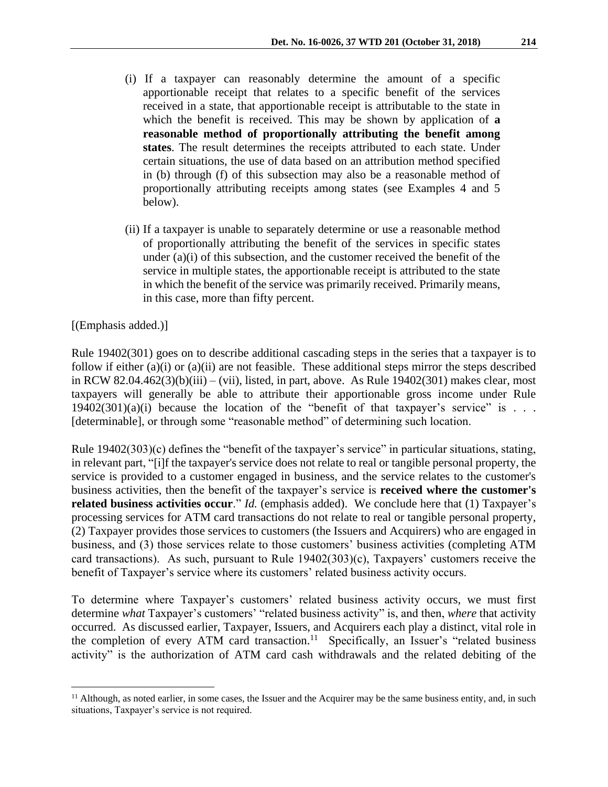- (i) If a taxpayer can reasonably determine the amount of a specific apportionable receipt that relates to a specific benefit of the services received in a state, that apportionable receipt is attributable to the state in which the benefit is received. This may be shown by application of **a reasonable method of proportionally attributing the benefit among states**. The result determines the receipts attributed to each state. Under certain situations, the use of data based on an attribution method specified in (b) through (f) of this subsection may also be a reasonable method of proportionally attributing receipts among states (see Examples 4 and 5 below).
- (ii) If a taxpayer is unable to separately determine or use a reasonable method of proportionally attributing the benefit of the services in specific states under (a)(i) of this subsection, and the customer received the benefit of the service in multiple states, the apportionable receipt is attributed to the state in which the benefit of the service was primarily received. Primarily means, in this case, more than fifty percent.

#### [(Emphasis added.)]

 $\overline{a}$ 

Rule 19402(301) goes on to describe additional cascading steps in the series that a taxpayer is to follow if either (a)(i) or (a)(ii) are not feasible. These additional steps mirror the steps described in RCW 82.04.462(3)(b)(iii) – (vii), listed, in part, above. As Rule 19402(301) makes clear, most taxpayers will generally be able to attribute their apportionable gross income under Rule  $19402(301)(a)(i)$  because the location of the "benefit of that taxpayer's service" is . . . [determinable], or through some "reasonable method" of determining such location.

Rule 19402(303)(c) defines the "benefit of the taxpayer's service" in particular situations, stating, in relevant part, "[i]f the taxpayer's service does not relate to real or tangible personal property, the service is provided to a customer engaged in business, and the service relates to the customer's business activities, then the benefit of the taxpayer's service is **received where the customer's related business activities occur**." *Id.* (emphasis added). We conclude here that (1) Taxpayer's processing services for ATM card transactions do not relate to real or tangible personal property, (2) Taxpayer provides those services to customers (the Issuers and Acquirers) who are engaged in business, and (3) those services relate to those customers' business activities (completing ATM card transactions). As such, pursuant to Rule 19402(303)(c), Taxpayers' customers receive the benefit of Taxpayer's service where its customers' related business activity occurs.

To determine where Taxpayer's customers' related business activity occurs, we must first determine *what* Taxpayer's customers' "related business activity" is, and then, *where* that activity occurred. As discussed earlier, Taxpayer, Issuers, and Acquirers each play a distinct, vital role in the completion of every ATM card transaction.<sup>11</sup> Specifically, an Issuer's "related business" activity" is the authorization of ATM card cash withdrawals and the related debiting of the

<sup>&</sup>lt;sup>11</sup> Although, as noted earlier, in some cases, the Issuer and the Acquirer may be the same business entity, and, in such situations, Taxpayer's service is not required.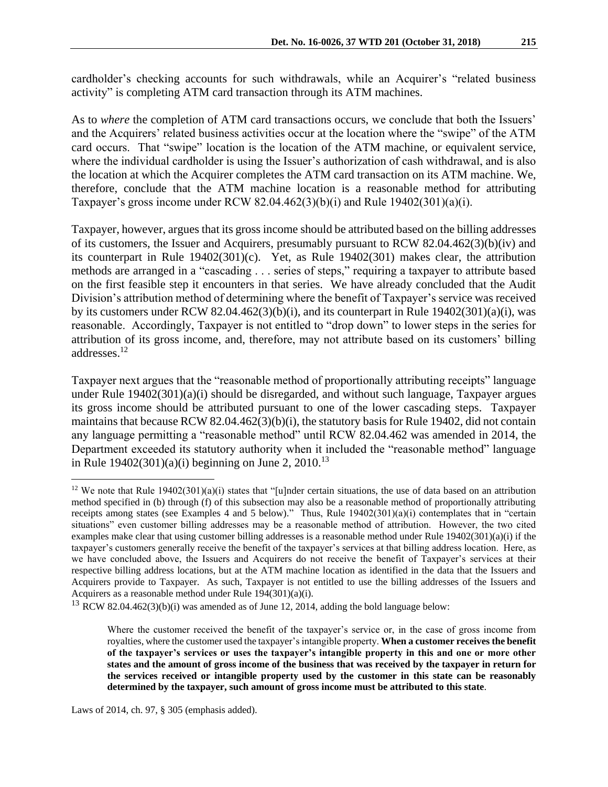cardholder's checking accounts for such withdrawals, while an Acquirer's "related business activity" is completing ATM card transaction through its ATM machines.

As to *where* the completion of ATM card transactions occurs, we conclude that both the Issuers' and the Acquirers' related business activities occur at the location where the "swipe" of the ATM card occurs. That "swipe" location is the location of the ATM machine, or equivalent service, where the individual cardholder is using the Issuer's authorization of cash withdrawal, and is also the location at which the Acquirer completes the ATM card transaction on its ATM machine. We, therefore, conclude that the ATM machine location is a reasonable method for attributing Taxpayer's gross income under RCW 82.04.462(3)(b)(i) and Rule 19402(301)(a)(i).

Taxpayer, however, argues that its gross income should be attributed based on the billing addresses of its customers, the Issuer and Acquirers, presumably pursuant to RCW 82.04.462(3)(b)(iv) and its counterpart in Rule 19402(301)(c). Yet, as Rule 19402(301) makes clear, the attribution methods are arranged in a "cascading . . . series of steps," requiring a taxpayer to attribute based on the first feasible step it encounters in that series. We have already concluded that the Audit Division's attribution method of determining where the benefit of Taxpayer's service was received by its customers under RCW 82.04.462(3)(b)(i), and its counterpart in Rule 19402(301)(a)(i), was reasonable. Accordingly, Taxpayer is not entitled to "drop down" to lower steps in the series for attribution of its gross income, and, therefore, may not attribute based on its customers' billing addresses.<sup>12</sup>

Taxpayer next argues that the "reasonable method of proportionally attributing receipts" language under Rule 19402(301)(a)(i) should be disregarded, and without such language, Taxpayer argues its gross income should be attributed pursuant to one of the lower cascading steps. Taxpayer maintains that because RCW 82.04.462(3)(b)(i), the statutory basis for Rule 19402, did not contain any language permitting a "reasonable method" until RCW 82.04.462 was amended in 2014, the Department exceeded its statutory authority when it included the "reasonable method" language in Rule  $19402(301)(a)(i)$  beginning on June 2, 2010.<sup>13</sup>

<sup>&</sup>lt;sup>12</sup> We note that Rule 19402(301)(a)(i) states that "[u]nder certain situations, the use of data based on an attribution method specified in (b) through (f) of this subsection may also be a reasonable method of proportionally attributing receipts among states (see Examples 4 and 5 below)." Thus, Rule 19402(301)(a)(i) contemplates that in "certain situations" even customer billing addresses may be a reasonable method of attribution. However, the two cited examples make clear that using customer billing addresses is a reasonable method under Rule 19402(301)(a)(i) if the taxpayer's customers generally receive the benefit of the taxpayer's services at that billing address location. Here, as we have concluded above, the Issuers and Acquirers do not receive the benefit of Taxpayer's services at their respective billing address locations, but at the ATM machine location as identified in the data that the Issuers and Acquirers provide to Taxpayer. As such, Taxpayer is not entitled to use the billing addresses of the Issuers and Acquirers as a reasonable method under Rule 194(301)(a)(i).

 $13$  RCW 82.04.462(3)(b)(i) was amended as of June 12, 2014, adding the bold language below:

Where the customer received the benefit of the taxpayer's service or, in the case of gross income from royalties, where the customer used the taxpayer's intangible property. **When a customer receives the benefit of the taxpayer's services or uses the taxpayer's intangible property in this and one or more other states and the amount of gross income of the business that was received by the taxpayer in return for the services received or intangible property used by the customer in this state can be reasonably determined by the taxpayer, such amount of gross income must be attributed to this state**.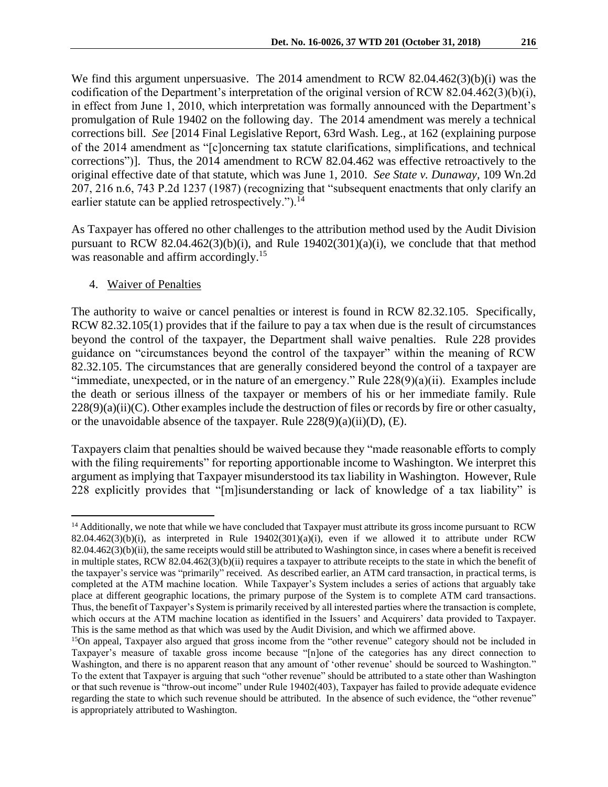We find this argument unpersuasive. The 2014 amendment to RCW 82.04.462(3)(b)(i) was the codification of the Department's interpretation of the original version of RCW 82.04.462(3)(b)(i), in effect from June 1, 2010, which interpretation was formally announced with the Department's promulgation of Rule 19402 on the following day. The 2014 amendment was merely a technical corrections bill. *See* [2014 Final Legislative Report, 63rd Wash. Leg., at 162 (explaining purpose of the 2014 amendment as "[c]oncerning tax statute clarifications, simplifications, and technical corrections")]. Thus, the 2014 amendment to RCW 82.04.462 was effective retroactively to the original effective date of that statute, which was June 1, 2010. *See State v. Dunaway,* 109 Wn.2d 207, 216 n.6, 743 P.2d 1237 (1987) (recognizing that "subsequent enactments that only clarify an earlier statute can be applied retrospectively.").<sup>14</sup>

As Taxpayer has offered no other challenges to the attribution method used by the Audit Division pursuant to RCW 82.04.462(3)(b)(i), and Rule  $19402(301)(a)(i)$ , we conclude that that method was reasonable and affirm accordingly.<sup>15</sup>

#### 4. Waiver of Penalties

 $\overline{a}$ 

The authority to waive or cancel penalties or interest is found in RCW 82.32.105. Specifically, RCW 82.32.105(1) provides that if the failure to pay a tax when due is the result of circumstances beyond the control of the taxpayer, the Department shall waive penalties. Rule 228 provides guidance on "circumstances beyond the control of the taxpayer" within the meaning of RCW 82.32.105. The circumstances that are generally considered beyond the control of a taxpayer are "immediate, unexpected, or in the nature of an emergency." Rule 228(9)(a)(ii). Examples include the death or serious illness of the taxpayer or members of his or her immediate family. Rule  $228(9)(a)(ii)(C)$ . Other examples include the destruction of files or records by fire or other casualty, or the unavoidable absence of the taxpayer. Rule  $228(9)(a)(ii)(D)$ , (E).

Taxpayers claim that penalties should be waived because they "made reasonable efforts to comply with the filing requirements" for reporting apportionable income to Washington. We interpret this argument as implying that Taxpayer misunderstood its tax liability in Washington. However, Rule 228 explicitly provides that "[m]isunderstanding or lack of knowledge of a tax liability" is

<sup>&</sup>lt;sup>14</sup> Additionally, we note that while we have concluded that Taxpayer must attribute its gross income pursuant to RCW 82.04.462(3)(b)(i), as interpreted in Rule  $19402(301)(a)(i)$ , even if we allowed it to attribute under RCW  $82.04.462(3)(b)(ii)$ , the same receipts would still be attributed to Washington since, in cases where a benefit is received in multiple states, RCW 82.04.462(3)(b)(ii) requires a taxpayer to attribute receipts to the state in which the benefit of the taxpayer's service was "primarily" received. As described earlier, an ATM card transaction, in practical terms, is completed at the ATM machine location. While Taxpayer's System includes a series of actions that arguably take place at different geographic locations, the primary purpose of the System is to complete ATM card transactions. Thus, the benefit of Taxpayer's System is primarily received by all interested parties where the transaction is complete, which occurs at the ATM machine location as identified in the Issuers' and Acquirers' data provided to Taxpayer. This is the same method as that which was used by the Audit Division, and which we affirmed above.

<sup>&</sup>lt;sup>15</sup>On appeal, Taxpayer also argued that gross income from the "other revenue" category should not be included in Taxpayer's measure of taxable gross income because "[n]one of the categories has any direct connection to Washington, and there is no apparent reason that any amount of 'other revenue' should be sourced to Washington." To the extent that Taxpayer is arguing that such "other revenue" should be attributed to a state other than Washington or that such revenue is "throw-out income" under Rule 19402(403), Taxpayer has failed to provide adequate evidence regarding the state to which such revenue should be attributed. In the absence of such evidence, the "other revenue" is appropriately attributed to Washington.